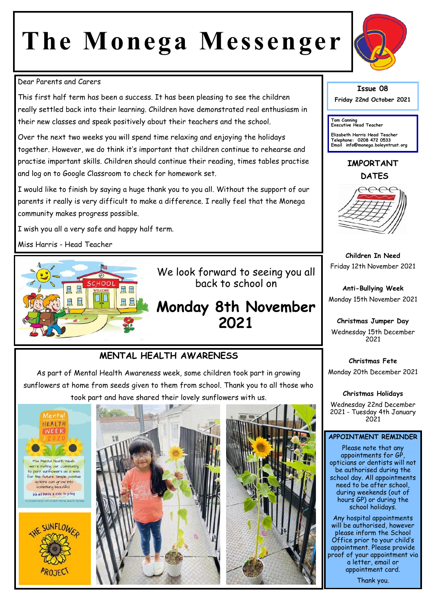# **The Monega Messenger**



#### Dear Parents and Carers

This first half term has been a success. It has been pleasing to see the children really settled back into their learning. Children have demonstrated real enthusiasm in their new classes and speak positively about their teachers and the school.

Over the next two weeks you will spend time relaxing and enjoying the holidays together. However, we do think it's important that children continue to rehearse and practise important skills. Children should continue their reading, times tables practise and log on to Google Classroom to check for homework set.

I would like to finish by saying a huge thank you to you all. Without the support of our parents it really is very difficult to make a difference. I really feel that the Monega community makes progress possible.

I wish you all a very safe and happy half term.

Miss Harris - Head Teacher



We look forward to seeing you all back to school on

## **Monday 8th November 2021**

## **MENTAL HEALTH AWARENESS**

As part of Mental Health Awareness week, some children took part in growing sunflowers at home from seeds given to them from school. Thank you to all those who took part and have shared their lovely sunflowers with us.



**PROJECT** 





## **Issue 08**

**Friday 22nd October 2021** 

**Tom Canning Executive Head Teacher**

**Elizabeth Harris Head Teacher Telephone: 0208 472 0533 Email info@monega.boleyntrust.org** 

**IMPORTANT DATES**



**Children In Need** Friday 12th November 2021

**Anti-Bullying Week** Monday 15th November 2021

**Christmas Jumper Day** Wednesday 15th December 2021

**Christmas Fete** Monday 20th December 2021

**Christmas Holidays**

Wednesday 22nd December 2021 - Tuesday 4th January 2021

#### **APPOINTMENT REMINDER**

Please note that any appointments for GP, opticians or dentists will not be authorised during the school day. All appointments need to be after school, during weekends (out of hours GP) or during the school holidays.

Any hospital appointments will be authorised, however please inform the School Office prior to your child's appointment. Please provide proof of your appointment via a letter, email or appointment card.

Thank you.